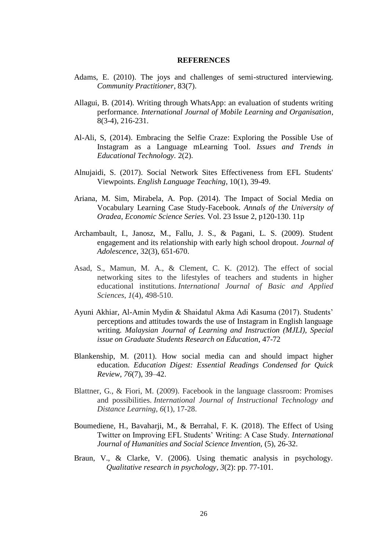## **REFERENCES**

- Adams, E. (2010). The joys and challenges of semi-structured interviewing. *Community Practitioner*, 83(7).
- Allagui, B. (2014). Writing through WhatsApp: an evaluation of students writing performance. *International Journal of Mobile Learning and Organisation*, 8(3-4), 216-231.
- Al-Ali, S, (2014). Embracing the Selfie Craze: Exploring the Possible Use of Instagram as a Language mLearning Tool. *Issues and Trends in Educational Technology.* 2(2).
- Alnujaidi, S. (2017). Social Network Sites Effectiveness from EFL Students' Viewpoints. *English Language Teaching*, 10(1), 39-49.
- Ariana, M. Sim, Mirabela, A. Pop. (2014). The Impact of Social Media on Vocabulary Learning Case Study-Facebook. *Annals of the University of Oradea, Economic Science Series.* Vol. 23 Issue 2, p120-130. 11p
- Archambault, I., Janosz, M., Fallu, J. S., & Pagani, L. S. (2009). Student engagement and its relationship with early high school dropout. *Journal of Adolescence*, 32(3), 651-670.
- Asad, S., Mamun, M. A., & Clement, C. K. (2012). The effect of social networking sites to the lifestyles of teachers and students in higher educational institutions. *International Journal of Basic and Applied Sciences*, *1*(4), 498-510.
- Ayuni Akhiar, Al-Amin Mydin & Shaidatul Akma Adi Kasuma (2017). Students' perceptions and attitudes towards the use of Instagram in English language writing. *Malaysian Journal of Learning and Instruction (MJLI), Special issue on Graduate Students Research on Education*, 47-72
- Blankenship, M. (2011). How social media can and should impact higher education. *Education Digest: Essential Readings Condensed for Quick Review*, *76*(7), 39–42.
- Blattner, G., & Fiori, M. (2009). Facebook in the language classroom: Promises and possibilities. *International Journal of Instructional Technology and Distance Learning*, *6*(1), 17-28.
- Boumediene, H., Bavaharji, M., & Berrahal, F. K. (2018). The Effect of Using Twitter on Improving EFL Students' Writing: A Case Study. *International Journal of Humanities and Social Science Invention,* (5), 26-32.
- Braun, V., & Clarke, V. (2006). Using thematic analysis in psychology. *Qualitative research in psychology*, *3*(2): pp. 77-101.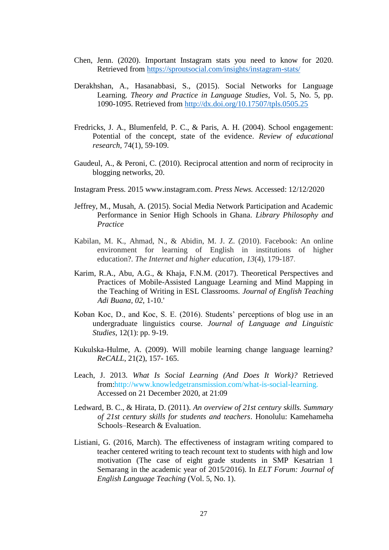- Chen, Jenn. (2020). Important Instagram stats you need to know for 2020. Retrieved from<https://sproutsocial.com/insights/instagram-stats/>
- Derakhshan, A., Hasanabbasi, S., (2015). Social Networks for Language Learning. *Theory and Practice in Language Studies*, Vol. 5, No. 5, pp. 1090-1095. Retrieved from<http://dx.doi.org/10.17507/tpls.0505.25>
- Fredricks, J. A., Blumenfeld, P. C., & Paris, A. H. (2004). School engagement: Potential of the concept, state of the evidence. *Review of educational research,* 74(1), 59-109.
- Gaudeul, A., & Peroni, C. (2010). Reciprocal attention and norm of reciprocity in blogging networks, 20.
- Instagram Press. 2015 www.instagram.com. *Press News.* Accessed: 12/12/2020
- Jeffrey, M., Musah, A. (2015). Social Media Network Participation and Academic Performance in Senior High Schools in Ghana. *Library Philosophy and Practice*
- Kabilan, M. K., Ahmad, N., & Abidin, M. J. Z. (2010). Facebook: An online environment for learning of English in institutions of higher education?. *The Internet and higher education*, *13*(4), 179-187.
- Karim, R.A., Abu, A.G., & Khaja, F.N.M. (2017). Theoretical Perspectives and Practices of Mobile-Assisted Language Learning and Mind Mapping in the Teaching of Writing in ESL Classrooms. *Journal of English Teaching Adi Buana, 02,* 1-10.'
- Koban Koc, D., and Koc, S. E. (2016). Students' perceptions of blog use in an undergraduate linguistics course. *Journal of Language and Linguistic Studies*, 12(1): pp. 9-19.
- Kukulska-Hulme, A. (2009). Will mobile learning change language learning? *ReCALL,* 21(2), 157- 165.
- Leach, J. 2013. *What Is Social Learning (And Does It Work)?* Retrieved from:http://www.knowledgetransmission.com/what-is-social-learning. Accessed on 21 December 2020, at 21:09
- Ledward, B. C., & Hirata, D. (2011). *An overview of 21st century skills. Summary of 21st century skills for students and teachers*. Honolulu: Kamehameha Schools–Research & Evaluation.
- Listiani, G. (2016, March). The effectiveness of instagram writing compared to teacher centered writing to teach recount text to students with high and low motivation (The case of eight grade students in SMP Kesatrian 1 Semarang in the academic year of 2015/2016). In *ELT Forum: Journal of English Language Teaching* (Vol. 5, No. 1).